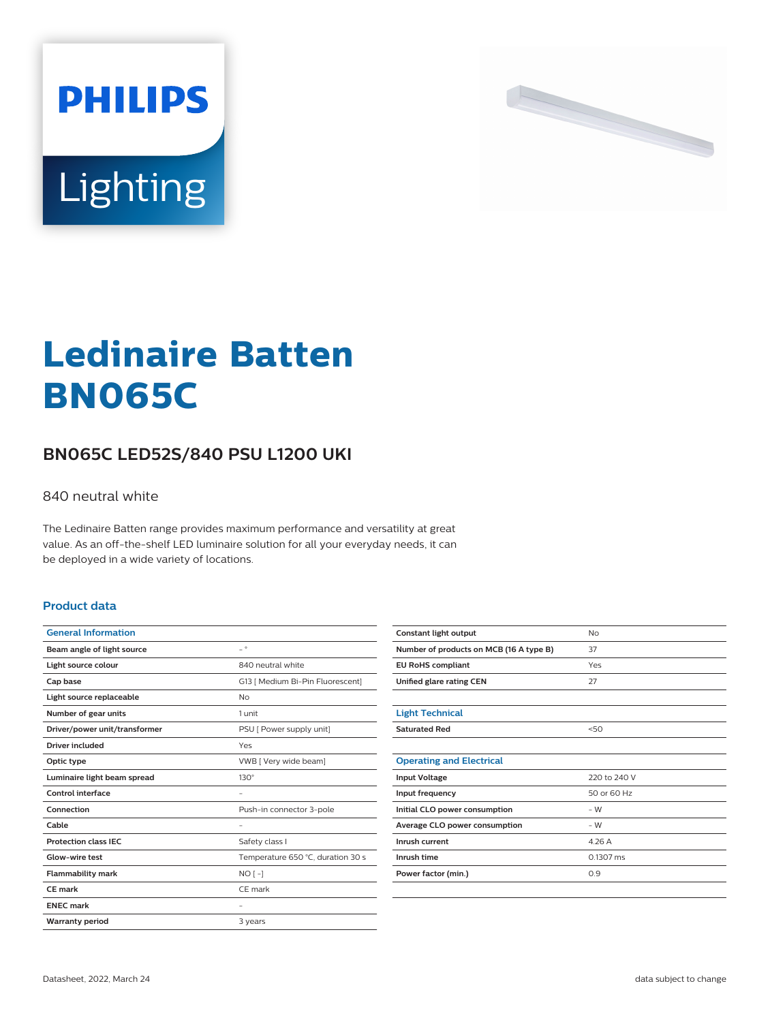



# **Ledinaire Batten BN065C**

## **BN065C LED52S/840 PSU L1200 UKI**

#### 840 neutral white

The Ledinaire Batten range provides maximum performance and versatility at great value. As an off-the-shelf LED luminaire solution for all your everyday needs, it can be deployed in a wide variety of locations.

#### **Product data**

| <b>General Information</b>    |                                   |
|-------------------------------|-----------------------------------|
| Beam angle of light source    | $\equiv$ $^{\circ}$               |
| Light source colour           | 840 neutral white                 |
| Cap base                      | G13   Medium Bi-Pin Fluorescent]  |
| Light source replaceable      | <b>No</b>                         |
| Number of gear units          | 1 unit                            |
| Driver/power unit/transformer | PSU [ Power supply unit]          |
| Driver included               | Yes                               |
| Optic type                    | VWB [ Very wide beam]             |
| Luminaire light beam spread   | $130^\circ$                       |
| Control interface             |                                   |
| Connection                    | Push-in connector 3-pole          |
| Cable                         |                                   |
| <b>Protection class IEC</b>   | Safety class I                    |
| Glow-wire test                | Temperature 650 °C, duration 30 s |
| <b>Flammability mark</b>      | $NO[-]$                           |
| CF mark                       | CE mark                           |
| <b>ENEC mark</b>              |                                   |
| <b>Warranty period</b>        | 3 years                           |

| Constant light output                   | <b>No</b>           |
|-----------------------------------------|---------------------|
| Number of products on MCB (16 A type B) | 37                  |
| <b>EU RoHS compliant</b>                | Yes                 |
| Unified glare rating CEN                | 27                  |
|                                         |                     |
| <b>Light Technical</b>                  |                     |
| <b>Saturated Red</b>                    | 50                  |
|                                         |                     |
| <b>Operating and Electrical</b>         |                     |
| <b>Input Voltage</b>                    | 220 to 240 V        |
| Input frequency                         | 50 or 60 Hz         |
| Initial CLO power consumption           | $-W$                |
| Average CLO power consumption           | $-W$                |
| Inrush current                          | 4.26A               |
| Inrush time                             | $0.1307 \text{ ms}$ |
| Power factor (min.)                     | 0.9                 |
|                                         |                     |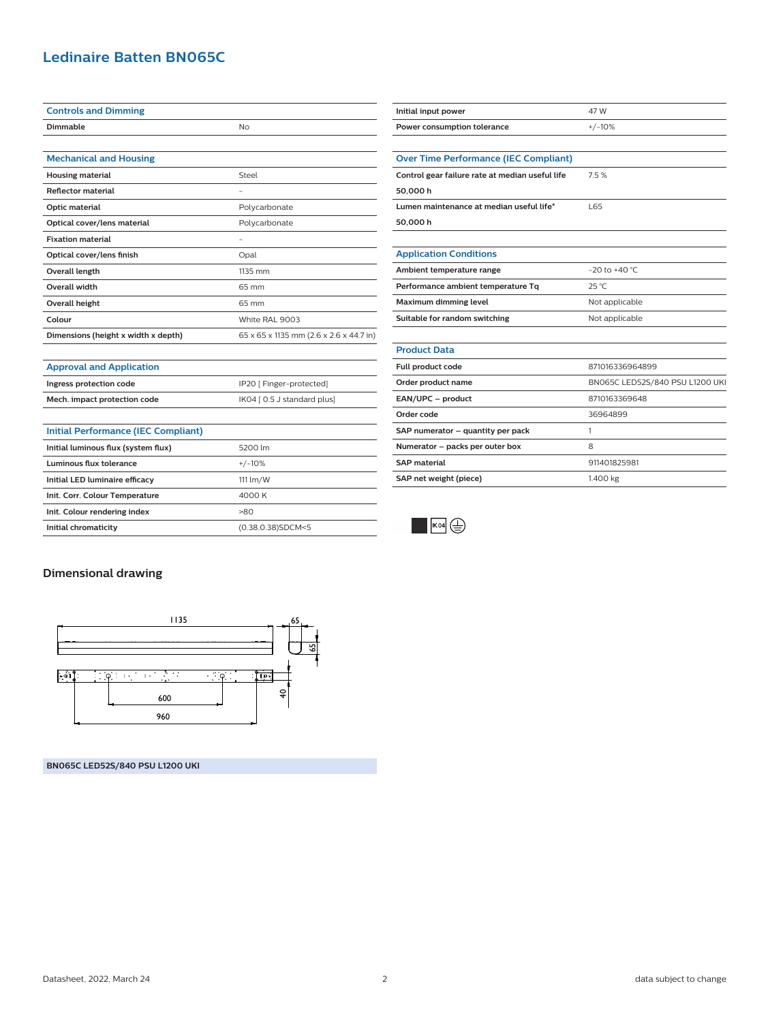### **Ledinaire Batten BN065C**

| <b>Controls and Dimming</b>         |                                         |
|-------------------------------------|-----------------------------------------|
| Dimmable                            | No                                      |
|                                     |                                         |
| <b>Mechanical and Housing</b>       |                                         |
| <b>Housing material</b>             | Steel                                   |
| <b>Reflector material</b>           | -                                       |
| Optic material                      | Polycarbonate                           |
| Optical cover/lens material         | Polycarbonate                           |
| <b>Fixation material</b>            |                                         |
| Optical cover/lens finish           | Opal                                    |
| Overall length                      | 1135 mm                                 |
| <b>Overall width</b>                | 65 mm                                   |
| <b>Overall height</b>               | 65 mm                                   |
| Colour                              | White RAL 9003                          |
| Dimensions (height x width x depth) | 65 x 65 x 1135 mm (2.6 x 2.6 x 44.7 in) |
|                                     |                                         |

**Ingress protection code** IP20 [ Finger-protected] **Mech. impact protection code** IK04 [ 0.5 J standard plus]

**Initial chromaticity** (0.38,0.38)SDCM<5

| <b>Over Time Performance (IEC Compliant)</b>    |                                 |
|-------------------------------------------------|---------------------------------|
| Control gear failure rate at median useful life | 7.5%                            |
| 50,000 h                                        |                                 |
| Lumen maintenance at median useful life*        | 165                             |
| 50,000 h                                        |                                 |
|                                                 |                                 |
| <b>Application Conditions</b>                   |                                 |
| Ambient temperature range                       | $-20$ to $+40$ °C               |
| Performance ambient temperature Tq              | $25^{\circ}$ C                  |
| Maximum dimming level                           | Not applicable                  |
| Suitable for random switching                   | Not applicable                  |
|                                                 |                                 |
| <b>Product Data</b>                             |                                 |
| Full product code                               | 871016336964899                 |
| Order product name                              | BN065C LED52S/840 PSU L1200 UKI |
| EAN/UPC - product                               | 8710163369648                   |
| Order code                                      | 36964899                        |
| SAP numerator - quantity per pack               | 1                               |
| Numerator - packs per outer box                 | 8                               |
| <b>SAP</b> material                             | 911401825981                    |
| SAP net weight (piece)                          | 1.400 kg                        |
|                                                 |                                 |

**Initial input power** 47 W **Power consumption tolerance**  $+/-10\%$ 



## **Dimensional drawing**

**Approval and Application**

**Initial Performance (IEC Compliant)**

**Initial luminous flux (system flux)** 5200 lm **Luminous flux tolerance** +/-10% **Initial LED luminaire efficacy** 111 lm/W **Init. Corr. Colour Temperature** 4000 K **Init. Colour rendering index** >80



**BN065C LED52S/840 PSU L1200 UKI**

Datasheet, 2022, March 24 2 data subject to change